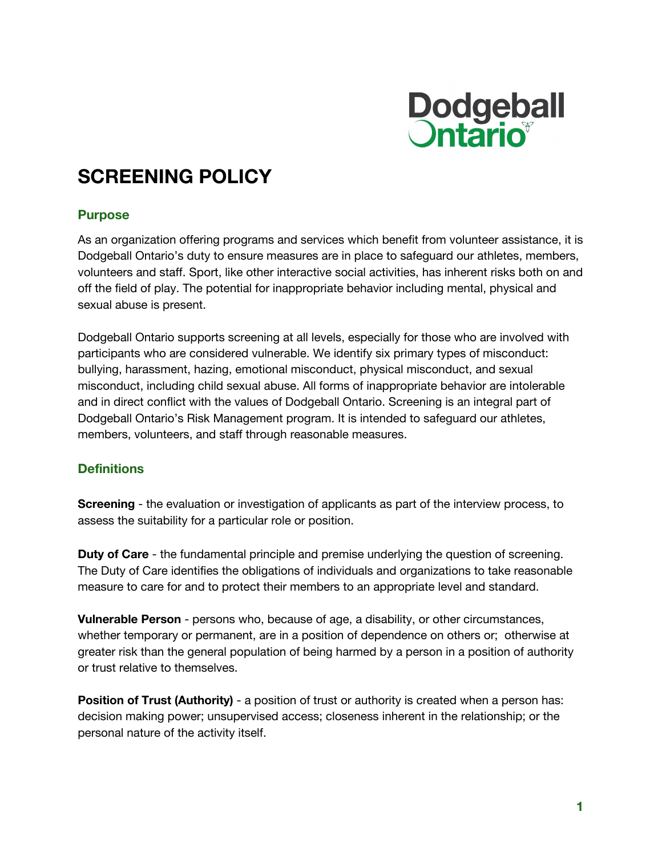

# **SCREENING POLICY**

#### **Purpose**

As an organization offering programs and services which benefit from volunteer assistance, it is Dodgeball Ontario's duty to ensure measures are in place to safeguard our athletes, members, volunteers and staff. Sport, like other interactive social activities, has inherent risks both on and off the field of play. The potential for inappropriate behavior including mental, physical and sexual abuse is present.

Dodgeball Ontario supports screening at all levels, especially for those who are involved with participants who are considered vulnerable. We identify six primary types of misconduct: bullying, harassment, hazing, emotional misconduct, physical misconduct, and sexual misconduct, including child sexual abuse. All forms of inappropriate behavior are intolerable and in direct conflict with the values of Dodgeball Ontario. Screening is an integral part of Dodgeball Ontario's Risk Management program. It is intended to safeguard our athletes, members, volunteers, and staff through reasonable measures.

## **Definitions**

**Screening** - the evaluation or investigation of applicants as part of the interview process, to assess the suitability for a particular role or position.

**Duty of Care** - the fundamental principle and premise underlying the question of screening. The Duty of Care identifies the obligations of individuals and organizations to take reasonable measure to care for and to protect their members to an appropriate level and standard.

**Vulnerable Person** - persons who, because of age, a disability, or other circumstances, whether temporary or permanent, are in a position of dependence on others or; otherwise at greater risk than the general population of being harmed by a person in a position of authority or trust relative to themselves.

**Position of Trust (Authority)** - a position of trust or authority is created when a person has: decision making power; unsupervised access; closeness inherent in the relationship; or the personal nature of the activity itself.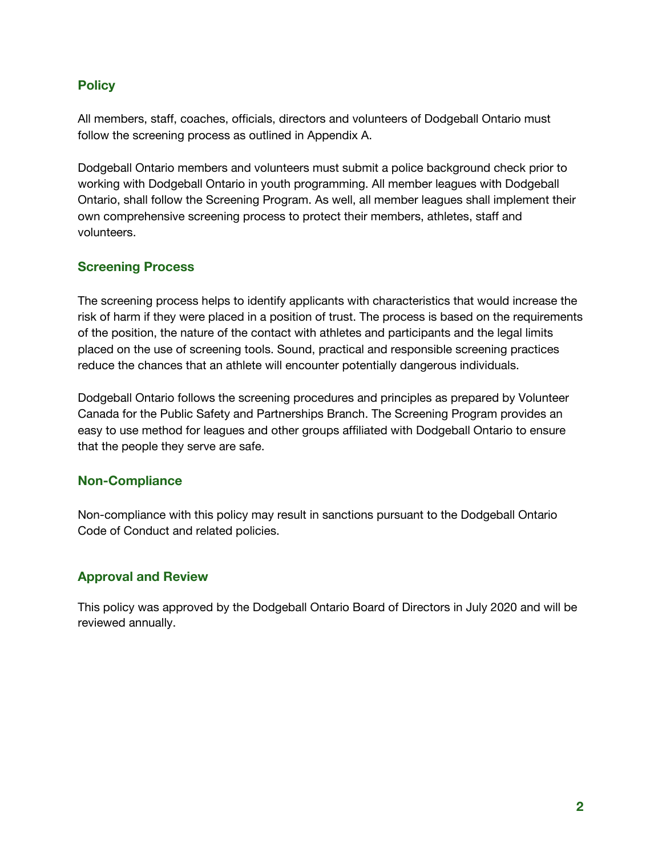# **Policy**

All members, staff, coaches, officials, directors and volunteers of Dodgeball Ontario must follow the screening process as outlined in Appendix A.

Dodgeball Ontario members and volunteers must submit a police background check prior to working with Dodgeball Ontario in youth programming. All member leagues with Dodgeball Ontario, shall follow the Screening Program. As well, all member leagues shall implement their own comprehensive screening process to protect their members, athletes, staff and volunteers.

# **Screening Process**

The screening process helps to identify applicants with characteristics that would increase the risk of harm if they were placed in a position of trust. The process is based on the requirements of the position, the nature of the contact with athletes and participants and the legal limits placed on the use of screening tools. Sound, practical and responsible screening practices reduce the chances that an athlete will encounter potentially dangerous individuals.

Dodgeball Ontario follows the screening procedures and principles as prepared by Volunteer Canada for the Public Safety and Partnerships Branch. The Screening Program provides an easy to use method for leagues and other groups affiliated with Dodgeball Ontario to ensure that the people they serve are safe.

## **Non-Compliance**

Non-compliance with this policy may result in sanctions pursuant to the Dodgeball Ontario Code of Conduct and related policies.

# **Approval and Review**

This policy was approved by the Dodgeball Ontario Board of Directors in July 2020 and will be reviewed annually.